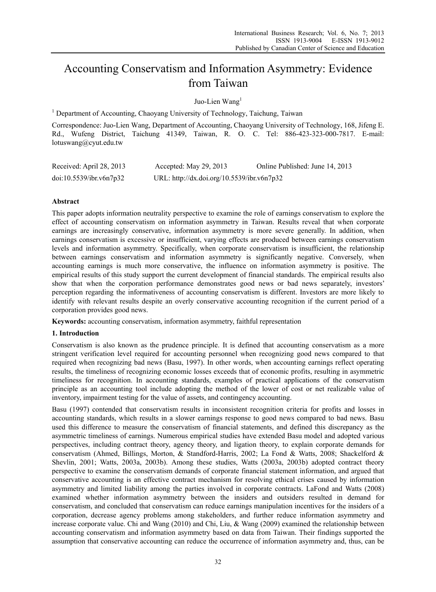# Accounting Conservatism and Information Asymmetry: Evidence from Taiwan

Juo-Lien Wang<sup>1</sup>

<sup>1</sup> Department of Accounting, Chaoyang University of Technology, Taichung, Taiwan

Correspondence: Juo-Lien Wang, Department of Accounting, Chaoyang University of Technology, 168, Jifeng E. Rd., Wufeng District, Taichung 41349, Taiwan, R. O. C. Tel: 886-423-323-000-7817. E-mail: lotuswang@cyut.edu.tw

| Received: April 28, 2013 | Accepted: May $29, 2013$                   | Online Published: June 14, 2013 |
|--------------------------|--------------------------------------------|---------------------------------|
| doi:10.5539/ibr.v6n7p32  | URL: http://dx.doi.org/10.5539/ibr.v6n7p32 |                                 |

# **Abstract**

This paper adopts information neutrality perspective to examine the role of earnings conservatism to explore the effect of accounting conservatism on information asymmetry in Taiwan. Results reveal that when corporate earnings are increasingly conservative, information asymmetry is more severe generally. In addition, when earnings conservatism is excessive or insufficient, varying effects are produced between earnings conservatism levels and information asymmetry. Specifically, when corporate conservatism is insufficient, the relationship between earnings conservatism and information asymmetry is significantly negative. Conversely, when accounting earnings is much more conservative, the influence on information asymmetry is positive. The empirical results of this study support the current development of financial standards. The empirical results also show that when the corporation performance demonstrates good news or bad news separately, investors' perception regarding the informativeness of accounting conservatism is different. Investors are more likely to identify with relevant results despite an overly conservative accounting recognition if the current period of a corporation provides good news.

**Keywords:** accounting conservatism, information asymmetry, faithful representation

## **1. Introduction**

Conservatism is also known as the prudence principle. It is defined that accounting conservatism as a more stringent verification level required for accounting personnel when recognizing good news compared to that required when recognizing bad news (Basu, 1997). In other words, when accounting earnings reflect operating results, the timeliness of recognizing economic losses exceeds that of economic profits, resulting in asymmetric timeliness for recognition. In accounting standards, examples of practical applications of the conservatism principle as an accounting tool include adopting the method of the lower of cost or net realizable value of inventory, impairment testing for the value of assets, and contingency accounting.

Basu (1997) contended that conservatism results in inconsistent recognition criteria for profits and losses in accounting standards, which results in a slower earnings response to good news compared to bad news. Basu used this difference to measure the conservatism of financial statements, and defined this discrepancy as the asymmetric timeliness of earnings. Numerous empirical studies have extended Basu model and adopted various perspectives, including contract theory, agency theory, and ligation theory, to explain corporate demands for conservatism (Ahmed, Billings, Morton, & Standford-Harris, 2002; La Fond & Watts, 2008; Shackelford & Shevlin, 2001; Watts, 2003a, 2003b). Among these studies, Watts (2003a, 2003b) adopted contract theory perspective to examine the conservatism demands of corporate financial statement information, and argued that conservative accounting is an effective contract mechanism for resolving ethical crises caused by information asymmetry and limited liability among the parties involved in corporate contracts. LaFond and Watts (2008) examined whether information asymmetry between the insiders and outsiders resulted in demand for conservatism, and concluded that conservatism can reduce earnings manipulation incentives for the insiders of a corporation, decrease agency problems among stakeholders, and further reduce information asymmetry and increase corporate value. Chi and Wang (2010) and Chi, Liu, & Wang (2009) examined the relationship between accounting conservatism and information asymmetry based on data from Taiwan. Their findings supported the assumption that conservative accounting can reduce the occurrence of information asymmetry and, thus, can be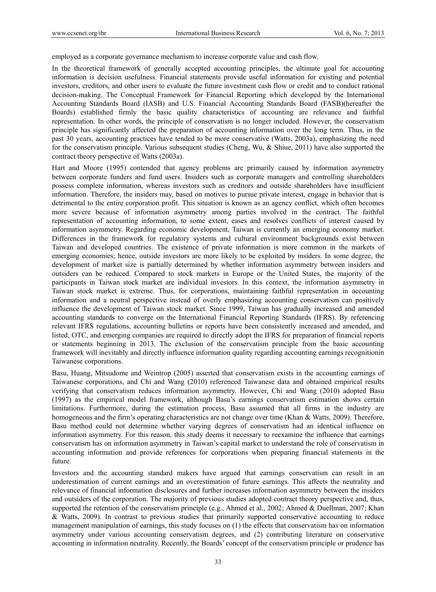employed as a corporate governance mechanism to increase corporate value and cash flow.

In the theoretical framework of generally accepted accounting principles, the ultimate goal for accounting information is decision usefulness. Financial statements provide useful information for existing and potential investors, creditors, and other users to evaluate the future investment cash flow or credit and to conduct rational decision-making. The Conceptual Framework for Financial Reporting which developed by the International Accounting Standards Board (IASB) and U.S. Financial Accounting Standards Board (FASB)(hereafter the Boards) established firmly the basic quality characteristics of accounting are relevance and faithful representation. In other words, the principle of conservatism is no longer included. However, the conservatism principle has significantly affected the preparation of accounting information over the long term. Thus, in the past 30 years, accounting practices have tended to be more conservative (Watts, 2003a), emphasizing the need for the conservatism principle. Various subsequent studies (Cheng, Wu, & Shiue, 2011) have also supported the contract theory perspective of Watts (2003a).

Hart and Moore (1995) contended that agency problems are primarily caused by information asymmetry between corporate funders and fund users. Insiders such as corporate managers and controlling shareholders possess complete information, whereas investors such as creditors and outside shareholders have insufficient information. Therefore, the insiders may, based on motives to pursue private interest, engage in behavior that is detrimental to the entire corporation profit. This situation is known as an agency conflict, which often becomes more severe because of information asymmetry among parties involved in the contract. The faithful representation of accounting information, to some extent, eases and resolves conflicts of interest caused by information asymmetry. Regarding economic development, Taiwan is currently an emerging economy market. Differences in the framework for regulatory systems and cultural environment backgrounds exist between Taiwan and developed countries. The existence of private information is more common in the markets of emerging economies; hence, outside investors are more likely to be exploited by insiders. In some degree, the development of market size is partially determined by whether information asymmetry between insiders and outsiders can be reduced. Compared to stock markets in Europe or the United States, the majority of the participants in Taiwan stock market are individual investors. In this context, the information asymmetry in Taiwan stock market is extreme. Thus, for corporations, maintaining faithful representation in accounting information and a neutral perspective instead of overly emphasizing accounting conservatism can positively influence the development of Taiwan stock market. Since 1999, Taiwan has gradually increased and amended accounting standards to converge on the International Financial Reporting Standards (IFRS). By referencing relevant IFRS regulations, accounting bulletins or reports have been consistently increased and amended, and listed, OTC, and emerging companies are required to directly adopt the IFRS for preparation of financial reports or statements beginning in 2013. The exclusion of the conservatism principle from the basic accounting framework will inevitably and directly influence information quality regarding accounting earnings recognitionin Taiwanese corporations.

Basu, Huang, Mitsudome and Weintrop (2005) asserted that conservatism exists in the accounting earnings of Taiwanese corporations, and Chi and Wang (2010) referenced Taiwanese data and obtained empirical results verifying that conservatism reduces information asymmetry. However, Chi and Wang (2010) adopted Basu (1997) as the empirical model framework, although Basu's earnings conservatism estimation shows certain limitations. Furthermore, during the estimation process, Basu assumed that all firms in the industry are homogeneous and the firm's operating characteristics are not change over time (Khan & Watts, 2009). Therefore, Basu method could not determine whether varying degrees of conservatism had an identical influence on information asymmetry. For this reason, this study deems it necessary to reexamine the influence that earnings conservatism has on information asymmetry in Taiwan's capital market to understand the role of conservatism in accounting information and provide references for corporations when preparing financial statements in the future.

Investors and the accounting standard makers have argued that earnings conservatism can result in an underestimation of current earnings and an overestimation of future earnings. This affects the neutrality and relevance of financial information disclosures and further increases information asymmetry between the insiders and outsiders of the corporation. The majority of previous studies adopted contract theory perspective and, thus, supported the retention of the conservatism principle (e.g., Ahmed et al., 2002; Ahmed & Duellman, 2007; Khan & Watts, 2009). In contrast to previous studies that primarily supported conservative accounting to reduce management manipulation of earnings, this study focuses on (1) the effects that conservatism has on information asymmetry under various accounting conservatism degrees, and (2) contributing literature on conservative accounting in information neutrality. Recently, the Boards' concept of the conservatism principle or prudence has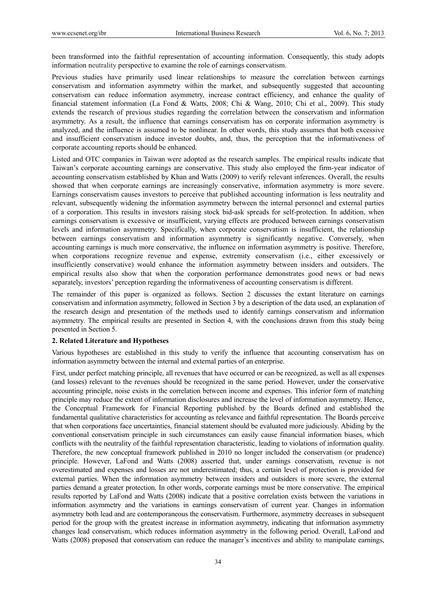been transformed into the faithful representation of accounting information. Consequently, this study adopts information neutrality perspective to examine the role of earnings conservatism.

Previous studies have primarily used linear relationships to measure the correlation between earnings conservatism and information asymmetry within the market, and subsequently suggested that accounting conservatism can reduce information asymmetry, increase contract efficiency, and enhance the quality of financial statement information (La Fond & Watts, 2008; Chi & Wang, 2010; Chi et al., 2009). This study extends the research of previous studies regarding the correlation between the conservatism and information asymmetry. As a result, the influence that earnings conservatism has on corporate information asymmetry is analyzed, and the influence is assumed to be nonlinear. In other words, this study assumes that both excessive and insufficient conservatism induce investor doubts, and, thus, the perception that the informativeness of corporate accounting reports should be enhanced.

Listed and OTC companies in Taiwan were adopted as the research samples. The empirical results indicate that Taiwan's corporate accounting earnings are conservative. This study also employed the firm-year indicator of accounting conservatism established by Khan and Watts (2009) to verify relevant inferences. Overall, the results showed that when corporate earnings are increasingly conservative, information asymmetry is more severe. Earnings conservatism causes investors to perceive that published accounting information is less neutrality and relevant, subsequently widening the information asymmetry between the internal personnel and external parties of a corporation. This results in investors raising stock bid-ask spreads for self-protection. In addition, when earnings conservatism is excessive or insufficient, varying effects are produced between earnings conservatism levels and information asymmetry. Specifically, when corporate conservatism is insufficient, the relationship between earnings conservatism and information asymmetry is significantly negative. Conversely, when accounting earnings is much more conservative, the influence on information asymmetry is positive. Therefore, when corporations recognize revenue and expense, extremity conservatism (i.e., either excessively or insufficiently conservative) would enhance the information asymmetry between insiders and outsiders. The empirical results also show that when the corporation performance demonstrates good news or bad news separately, investors' perception regarding the informativeness of accounting conservatism is different.

The remainder of this paper is organized as follows. Section 2 discusses the extant literature on earnings conservatism and information asymmetry, followed in Section 3 by a description of the data used, an explanation of the research design and presentation of the methods used to identify earnings conservatism and information asymmetry. The empirical results are presented in Section 4, with the conclusions drawn from this study being presented in Section 5.

## **2. Related Literature and Hypotheses**

Various hypotheses are established in this study to verify the influence that accounting conservatism has on information asymmetry between the internal and external parties of an enterprise.

First, under perfect matching principle, all revenues that have occurred or can be recognized, as well as all expenses (and losses) relevant to the revenues should be recognized in the same period. However, under the conservative accounting principle, noise exists in the correlation between income and expenses. This inferior form of matching principle may reduce the extent of information disclosures and increase the level of information asymmetry. Hence, the Conceptual Framework for Financial Reporting published by the Boards defined and established the fundamental qualitative characteristics for accounting as relevance and faithful representation. The Boards perceive that when corporations face uncertainties, financial statement should be evaluated more judiciously. Abiding by the conventional conservatism principle in such circumstances can easily cause financial information biases, which conflicts with the neutrality of the faithful representation characteristic, leading to violations of information quality. Therefore, the new conceptual framework published in 2010 no longer included the conservatism (or prudence) principle. However, LaFond and Watts (2008) asserted that, under earnings conservatism, revenue is not overestimated and expenses and losses are not underestimated; thus, a certain level of protection is provided for external parties. When the information asymmetry between insiders and outsiders is more severe, the external parties demand a greater protection. In other words, corporate earnings must be more conservative. The empirical results reported by LaFond and Watts (2008) indicate that a positive correlation exists between the variations in information asymmetry and the variations in earnings conservatism of current year. Changes in information asymmetry both lead and are contemporaneous the conservatism. Furthermore, asymmetry decreases in subsequent period for the group with the greatest increase in information asymmetry, indicating that information asymmetry changes lead conservatism, which reduces information asymmetry in the following period. Overall, LaFond and Watts (2008) proposed that conservatism can reduce the manager's incentives and ability to manipulate earnings,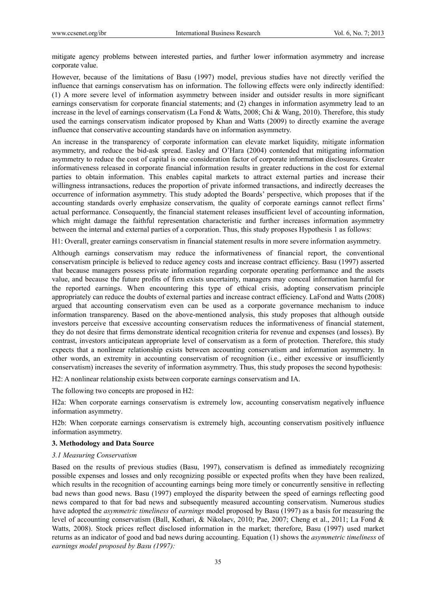mitigate agency problems between interested parties, and further lower information asymmetry and increase corporate value.

However, because of the limitations of Basu (1997) model, previous studies have not directly verified the influence that earnings conservatism has on information. The following effects were only indirectly identified: (1) A more severe level of information asymmetry between insider and outsider results in more significant earnings conservatism for corporate financial statements; and (2) changes in information asymmetry lead to an increase in the level of earnings conservatism (La Fond & Watts, 2008; Chi & Wang, 2010). Therefore, this study used the earnings conservatism indicator proposed by Khan and Watts (2009) to directly examine the average influence that conservative accounting standards have on information asymmetry.

An increase in the transparency of corporate information can elevate market liquidity, mitigate information asymmetry, and reduce the bid-ask spread. Easley and O'Hara (2004) contended that mitigating information asymmetry to reduce the cost of capital is one consideration factor of corporate information disclosures. Greater informativeness released in corporate financial information results in greater reductions in the cost for external parties to obtain information. This enables capital markets to attract external parties and increase their willingness intransactions, reduces the proportion of private informed transactions, and indirectly decreases the occurrence of information asymmetry. This study adopted the Boards' perspective, which proposes that if the accounting standards overly emphasize conservatism, the quality of corporate earnings cannot reflect firms' actual performance. Consequently, the financial statement releases insufficient level of accounting information, which might damage the faithful representation characteristic and further increases information asymmetry between the internal and external parties of a corporation. Thus, this study proposes Hypothesis 1 as follows:

H1: Overall, greater earnings conservatism in financial statement results in more severe information asymmetry.

Although earnings conservatism may reduce the informativeness of financial report, the conventional conservatism principle is believed to reduce agency costs and increase contract efficiency. Basu (1997) asserted that because managers possess private information regarding corporate operating performance and the assets value, and because the future profits of firm exists uncertainty, managers may conceal information harmful for the reported earnings. When encountering this type of ethical crisis, adopting conservatism principle appropriately can reduce the doubts of external parties and increase contract efficiency. LaFond and Watts (2008) argued that accounting conservatism even can be used as a corporate governance mechanism to induce information transparency. Based on the above-mentioned analysis, this study proposes that although outside investors perceive that excessive accounting conservatism reduces the informativeness of financial statement, they do not desire that firms demonstrate identical recognition criteria for revenue and expenses (and losses). By contrast, investors anticipatean appropriate level of conservatism as a form of protection. Therefore, this study expects that a nonlinear relationship exists between accounting conservatism and information asymmetry. In other words, an extremity in accounting conservatism of recognition (i.e., either excessive or insufficiently conservatism) increases the severity of information asymmetry. Thus, this study proposes the second hypothesis:

H2: A nonlinear relationship exists between corporate earnings conservatism and IA.

The following two concepts are proposed in H2:

H2a: When corporate earnings conservatism is extremely low, accounting conservatism negatively influence information asymmetry.

H2b: When corporate earnings conservatism is extremely high, accounting conservatism positively influence information asymmetry.

## **3. Methodology and Data Source**

## *3.1 Measuring Conservatism*

Based on the results of previous studies (Basu, 1997), conservatism is defined as immediately recognizing possible expenses and losses and only recognizing possible or expected profits when they have been realized, which results in the recognition of accounting earnings being more timely or concurrently sensitive in reflecting bad news than good news. Basu (1997) employed the disparity between the speed of earnings reflecting good news compared to that for bad news and subsequently measured accounting conservatism. Numerous studies have adopted the *asymmetric timeliness* of *earnings* model proposed by Basu (1997) as a basis for measuring the level of accounting conservatism (Ball, Kothari, & Nikolaev, 2010; Pae, 2007; Cheng et al., 2011; La Fond & Watts, 2008). Stock prices reflect disclosed information in the market; therefore, Basu (1997) used market returns as an indicator of good and bad news during accounting. Equation (1) shows the *asymmetric timeliness* of *earnings model proposed by Basu (1997):*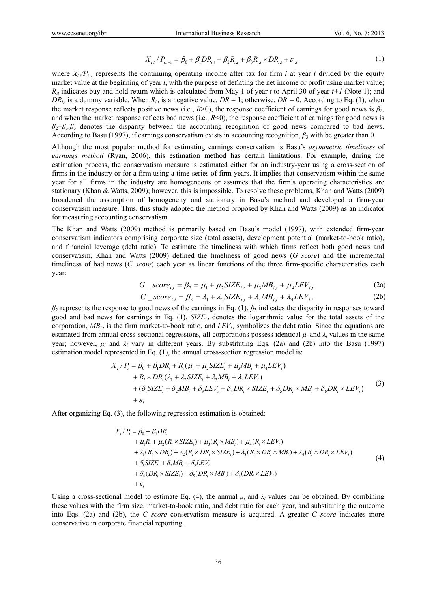$$
X_{i,t} / P_{i,t-1} = \beta_0 + \beta_1 DR_{i,t} + \beta_2 R_{i,t} + \beta_3 R_{i,t} \times DR_{i,t} + \varepsilon_{i,t}
$$
 (1)

where  $X_i/P_{t-1}$  represents the continuing operating income after tax for firm *i* at year *t* divided by the equity market value at the beginning of year *t*, with the purpose of deflating the net income or profit using market value;  $R_{it}$  indicates buy and hold return which is calculated from May 1 of year *t* to April 30 of year  $t+1$  (Note 1); and  $DR_{i,t}$  is a dummy variable. When  $R_{i,t}$  is a negative value,  $DR = 1$ ; otherwise,  $DR = 0$ . According to Eq. (1), when the market response reflects positive news (i.e., *R*>0), the response coefficient of earnings for good news is *β*2, and when the market response reflects bad news (i.e.,  $R<0$ ), the response coefficient of earnings for good news is  $\beta_2+\beta_3,\beta_3$  denotes the disparity between the accounting recognition of good news compared to bad news. According to Basu (1997), if earnings conservatism exists in accounting recognition,  $\beta_3$  with be greater than 0.

Although the most popular method for estimating earnings conservatism is Basu's *asymmetric timeliness* of *earnings method* (Ryan, 2006), this estimation method has certain limitations. For example, during the estimation process, the conservatism measure is estimated either for an industry-year using a cross-section of firms in the industry or for a firm using a time-series of firm-years. It implies that conservatism within the same year for all firms in the industry are homogeneous or assumes that the firm's operating characteristics are stationary (Khan & Watts, 2009); however, this is impossible. To resolve these problems, Khan and Watts (2009) broadened the assumption of homogeneity and stationary in Basu's method and developed a firm-year conservatism measure. Thus, this study adopted the method proposed by Khan and Watts (2009) as an indicator for measuring accounting conservatism.

The Khan and Watts (2009) method is primarily based on Basu's model (1997), with extended firm-year conservatism indicators comprising corporate size (total assets), development potential (market-to-book ratio), and financial leverage (debt ratio). To estimate the timeliness with which firms reflect both good news and conservatism, Khan and Watts (2009) defined the timeliness of good news (*G\_score*) and the incremental timeliness of bad news (*C\_score*) each year as linear functions of the three firm-specific characteristics each year:

$$
G\_score_{i,t} = \beta_2 = \mu_1 + \mu_2 SIZE_{i,t} + \mu_3 MB_{i,t} + \mu_4 LEV_{i,t}
$$
 (2a)

$$
C\_score_{i,t} = \beta_3 = \lambda_1 + \lambda_2 SIZE_{i,t} + \lambda_3 MB_{i,t} + \lambda_4 LEV_{i,t}
$$
 (2b)

 $\beta_2$  represents the response to good news of the earnings in Eq. (1),  $\beta_3$  indicates the disparity in responses toward good and bad news for earnings in Eq.  $(1)$ , *SIZE<sub>ij</sub>* denotes the logarithmic value for the total assets of the corporation,  $MB_{i,t}$  is the firm market-to-book ratio, and  $LEV_{i,t}$  symbolizes the debt ratio. Since the equations are estimated from annual cross-sectional regressions, all corporations possess identical  $\mu_i$  and  $\lambda_i$  values in the same year; however,  $\mu_i$  and  $\lambda_i$  vary in different years. By substituting Eqs. (2a) and (2b) into the Basu (1997) estimation model represented in Eq. (1), the annual cross-section regression model is:

$$
X_i / P_i = \beta_0 + \beta_1 DR_i + R_i(\mu_1 + \mu_2 SIZE_i + \mu_3 MB_i + \mu_4 LEV_i)
$$
  
+  $R_i \times DR_i(\lambda_1 + \lambda_2 SIZE_i + \lambda_3 MB_i + \lambda_4 LEV_i)$   
+  $(\delta_1 SIZE_i + \delta_2 MB_i + \delta_3 LEV_i + \delta_4 DR_i \times SIZE_i + \delta_5 DR_i \times MB_i + \delta_6 DR_i \times LEV_i)$  (3)  
+  $\varepsilon_i$ 

After organizing Eq. (3), the following regression estimation is obtained:

$$
X_i/P_i = \beta_0 + \beta_1 DR_i
$$
  
+  $\mu_1R_i + \mu_2(R_i \times SIZE_i) + \mu_3(R_i \times MB_i) + \mu_4(R_i \times LEV_i)$   
+  $\lambda_1(R_i \times DR_i) + \lambda_2(R_i \times DR_i \times SIZE_i) + \lambda_3(R_i \times DR_i \times MB_i) + \lambda_4(R_i \times DR_i \times LEV_i)$   
+  $\delta_1 SIZE_i + \delta_2 MB_i + \delta_3 LEV_i$   
+  $\delta_4 (DR_i \times SIZE_i) + \delta_5 (DR_i \times MB_i) + \delta_6 (DR_i \times LEV_i)$   
+  $\varepsilon_i$  (4)

Using a cross-sectional model to estimate Eq. (4), the annual  $\mu_i$  and  $\lambda_i$  values can be obtained. By combining these values with the firm size, market-to-book ratio, and debt ratio for each year, and substituting the outcome into Eqs. (2a) and (2b), the *C\_score* conservatism measure is acquired. A greater *C\_score* indicates more conservative in corporate financial reporting.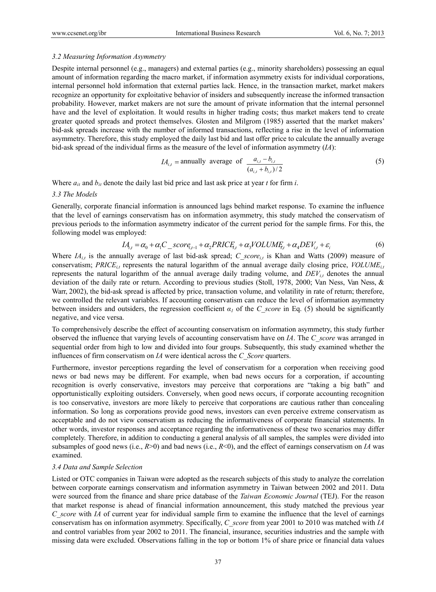#### *3.2 Measuring Information Asymmetry*

Despite internal personnel (e.g., managers) and external parties (e.g., minority shareholders) possessing an equal amount of information regarding the macro market, if information asymmetry exists for individual corporations, internal personnel hold information that external parties lack. Hence, in the transaction market, market makers recognize an opportunity for exploitative behavior of insiders and subsequently increase the informed transaction probability. However, market makers are not sure the amount of private information that the internal personnel have and the level of exploitation. It would results in higher trading costs; thus market makers tend to create greater quoted spreads and protect themselves. Glosten and Milgrom (1985) asserted that the market makers' bid-ask spreads increase with the number of informed transactions, reflecting a rise in the level of information asymmetry. Therefore, this study employed the daily last bid and last offer price to calculate the annually average bid-ask spread of the individual firms as the measure of the level of information asymmetry (*IA*):

$$
IA_{i,t} = \text{annually average of } \frac{a_{i,t} - b_{i,t}}{(a_{i,t} + b_{i,t})/2}
$$
 (5)

Where  $a_{it}$  and  $b_{it}$  denote the daily last bid price and last ask price at year *t* for firm *i*.

#### *3.3 The Models*

Generally, corporate financial information is announced lags behind market response. To examine the influence that the level of earnings conservatism has on information asymmetry, this study matched the conservatism of previous periods to the information asymmetry indicator of the current period for the sample firms. For this, the following model was employed:

$$
IA_{i,t} = \alpha_0 + \alpha_1 C_{S}core_{i,t-1} + \alpha_2 PRICE_{i,t} + \alpha_3 VOLUMF_{i,t} + \alpha_4 DEV_{i,t} + \varepsilon_i
$$
\n
$$
(6)
$$

Where  $I_{i,t}$  is the annually average of last bid-ask spread;  $C_score_{i,t}$  is Khan and Watts (2009) measure of conservatism; *PRICE<sub>i,t</sub>* represents the natural logarithm of the annual average daily closing price, *VOLUME<sub>i,t</sub>* represents the natural logarithm of the annual average daily trading volume, and  $DEV_{i,t}$  denotes the annual deviation of the daily rate or return. According to previous studies (Stoll, 1978, 2000; Van Ness, Van Ness, & Warr, 2002), the bid-ask spread is affected by price, transaction volume, and volatility in rate of return; therefore, we controlled the relevant variables. If accounting conservatism can reduce the level of information asymmetry between insiders and outsiders, the regression coefficient  $a<sub>l</sub>$  of the *C* score in Eq. (5) should be significantly negative, and vice versa.

To comprehensively describe the effect of accounting conservatism on information asymmetry, this study further observed the influence that varying levels of accounting conservatism have on *IA*. The *C\_score* was arranged in sequential order from high to low and divided into four groups. Subsequently, this study examined whether the influences of firm conservatism on *IA* were identical across the *C\_Score* quarters.

Furthermore, investor perceptions regarding the level of conservatism for a corporation when receiving good news or bad news may be different. For example, when bad news occurs for a corporation, if accounting recognition is overly conservative, investors may perceive that corporations are "taking a big bath" and opportunistically exploiting outsiders. Conversely, when good news occurs, if corporate accounting recognition is too conservative, investors are more likely to perceive that corporations are cautious rather than concealing information. So long as corporations provide good news, investors can even perceive extreme conservatism as acceptable and do not view conservatism as reducing the informativeness of corporate financial statements. In other words, investor responses and acceptance regarding the informativeness of these two scenarios may differ completely. Therefore, in addition to conducting a general analysis of all samples, the samples were divided into subsamples of good news (i.e., *R*>0) and bad news (i.e., *R*<0), and the effect of earnings conservatism on *IA* was examined.

#### *3.4 Data and Sample Selection*

Listed or OTC companies in Taiwan were adopted as the research subjects of this study to analyze the correlation between corporate earnings conservatism and information asymmetry in Taiwan between 2002 and 2011. Data were sourced from the finance and share price database of the *Taiwan Economic Journal* (TEJ). For the reason that market response is ahead of financial information announcement, this study matched the previous year *C\_score* with *IA* of current year for individual sample firm to examine the influence that the level of earnings conservatism has on information asymmetry. Specifically, *C\_score* from year 2001 to 2010 was matched with *IA* and control variables from year 2002 to 2011. The financial, insurance, securities industries and the sample with missing data were excluded. Observations falling in the top or bottom 1% of share price or financial data values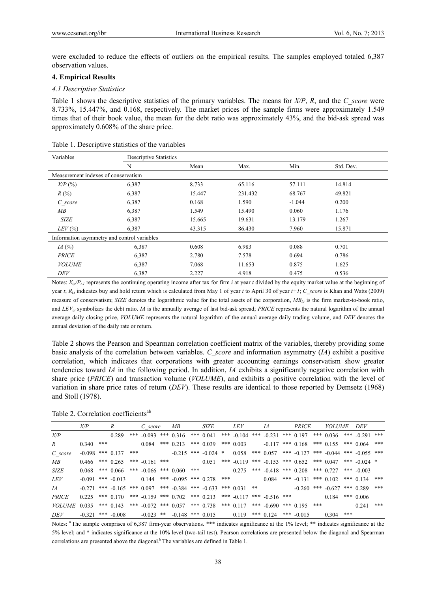were excluded to reduce the effects of outliers on the empirical results. The samples employed totaled 6,387 observation values.

# **4. Empirical Results**

#### *4.1 Descriptive Statistics*

Table 1 shows the descriptive statistics of the primary variables. The means for *X/P*, *R*, and the *C\_score* were 8.733%, 15.447%, and 0.168, respectively. The market prices of the sample firms were approximately 1.549 times that of their book value, the mean for the debt ratio was approximately 43%, and the bid-ask spread was approximately 0.608% of the share price.

| Variables                                   | <b>Descriptive Statistics</b> |        |         |          |           |  |
|---------------------------------------------|-------------------------------|--------|---------|----------|-----------|--|
|                                             | N                             | Mean   | Max.    | Min.     | Std. Dev. |  |
| Measurement indexes of conservatism         |                               |        |         |          |           |  |
| $X/P$ (%)                                   | 6,387                         | 8.733  | 65.116  | 57.111   | 14.814    |  |
| $R(\%)$                                     | 6,387                         | 15.447 | 231.432 | 68.767   | 49.821    |  |
| C score                                     | 6,387                         | 0.168  | 1.590   | $-1.044$ | 0.200     |  |
| MB                                          | 6,387                         | 1.549  | 15.490  | 0.060    | 1.176     |  |
| <b>SIZE</b>                                 | 6,387                         | 15.665 | 19.631  | 13.179   | 1.267     |  |
| $LEV$ (%)                                   | 6,387                         | 43.315 | 86.430  | 7.960    | 15.871    |  |
| Information asymmetry and control variables |                               |        |         |          |           |  |
| IA(%)                                       | 6,387                         | 0.608  | 6.983   | 0.088    | 0.701     |  |
| <b>PRICE</b>                                | 6,387                         | 2.780  | 7.578   | 0.694    | 0.786     |  |
| <b>VOLUME</b>                               | 6,387                         | 7.068  | 11.653  | 0.875    | 1.625     |  |
| <b>DEV</b>                                  | 6,387                         | 2.227  | 4.918   | 0.475    | 0.536     |  |

Table 1. Descriptive statistics of the variables

Notes:  $X_{i,j}/P_{i-1}$  represents the continuing operating income after tax for firm *i* at year *t* divided by the equity market value at the beginning of year *t*; *Ri,t* indicates buy and hold return which is calculated from May 1 of year *t* to April 30 of year *t+1*; *C\_score* is Khan and Watts (2009) measure of conservatism; *SIZE* denotes the logarithmic value for the total assets of the corporation,  $MB_{i,t}$  is the firm market-to-book ratio, and *LEVi,t* symbolizes the debt ratio. *IA* is the annually average of last bid-ask spread; *PRICE* represents the natural logarithm of the annual average daily closing price, *VOLUME* represents the natural logarithm of the annual average daily trading volume, and *DEV* denotes the annual deviation of the daily rate or return.

Table 2 shows the Pearson and Spearman correlation coefficient matrix of the variables, thereby providing some basic analysis of the correlation between variables. *C\_score* and information asymmetry (*IA*) exhibit a positive correlation, which indicates that corporations with greater accounting earnings conservatism show greater tendencies toward *IA* in the following period. In addition, *IA* exhibits a significantly negative correlation with share price (*PRICE*) and transaction volume (*VOLUME*), and exhibits a positive correlation with the level of variation in share price rates of return (*DEV*). These results are identical to those reported by Demsetz (1968) and Stoll (1978).

Table 2. Correlation coefficients<sup>ab</sup>

|                                                                                            | $X\!P$                |     | R     | C score | МB                                                                                             | SIZE | LEV <sub></sub> | IA                               | <i>PRICE</i> | <i>VOLUME</i> DEV                                                                                         |     |                |     |
|--------------------------------------------------------------------------------------------|-----------------------|-----|-------|---------|------------------------------------------------------------------------------------------------|------|-----------------|----------------------------------|--------------|-----------------------------------------------------------------------------------------------------------|-----|----------------|-----|
| X/P                                                                                        |                       |     | 0.289 |         |                                                                                                |      |                 |                                  |              | *** $-0.093$ *** 0.316 *** 0.041 *** $-0.104$ *** $-0.231$ *** 0.197 *** 0.036 *** $-0.291$ ***           |     |                |     |
| $\mathbb{R}$                                                                               | 0.340                 | *** |       |         |                                                                                                |      |                 |                                  |              | $0.084$ *** $0.213$ *** $0.039$ *** $0.003$ $-0.117$ *** $0.168$ *** $0.155$ *** $0.064$ ***              |     |                |     |
| C score                                                                                    |                       |     |       |         |                                                                                                |      |                 |                                  |              | $-0.098$ *** 0.137 *** $-0.215$ *** $-0.024$ * 0.058 *** 0.057 *** $-0.127$ *** $-0.044$ *** $-0.055$ *** |     |                |     |
| MB                                                                                         |                       |     |       |         | $0.466$ *** $0.265$ *** $-0.161$ *** $0.051$ *** $-0.119$ *** $-0.153$ *** $0.652$ *** $0.047$ |      |                 |                                  |              |                                                                                                           |     | *** $-0.024$ * |     |
| <b>SIZE</b>                                                                                |                       |     |       |         |                                                                                                |      |                 |                                  |              | $0.068$ *** $0.066$ *** $-0.066$ *** $0.060$ *** $-0.275$ *** $-0.418$ *** $0.208$ *** $0.727$            |     | *** $-0.003$   |     |
| <b>LEV</b>                                                                                 |                       |     |       |         |                                                                                                |      |                 |                                  |              | $-0.091$ *** $-0.013$ 0.144 *** $-0.095$ *** 0.278 *** 0.084 *** $-0.131$ *** 0.102 *** 0.134 ***         |     |                |     |
| IA                                                                                         |                       |     |       |         | $-0.271$ *** $-0.165$ *** $0.097$ *** $-0.384$ *** $-0.633$ *** $0.031$ **                     |      |                 |                                  |              | $-0.260$ *** $-0.627$ *** 0.289 ***                                                                       |     |                |     |
| <i>PRICE</i>                                                                               |                       |     |       |         | $0.225$ *** $0.170$ *** $-0.159$ *** $0.702$ *** $0.213$ *** $-0.117$ *** $-0.516$ ***         |      |                 |                                  |              | $0.184$ *** 0.006                                                                                         |     |                |     |
| $VOLUME$ 0.035 *** 0.143 *** -0.072 *** 0.057 *** 0.738 *** 0.117 *** -0.690 *** 0.195 *** |                       |     |       |         |                                                                                                |      |                 |                                  |              |                                                                                                           |     | 0.241          | *** |
| DEV                                                                                        | $-0.321$ *** $-0.008$ |     |       |         | $-0.023$ ** $-0.148$ *** 0.015                                                                 |      |                 | $0.119$ *** $0.124$ *** $-0.015$ |              | 0.304                                                                                                     | *** |                |     |

Notes: <sup>a</sup> The sample comprises of 6,387 firm-year observations. \*\*\* indicates significance at the 1% level; \*\* indicates significance at the 5% level; and \* indicates significance at the 10% level (two-tail test). Pearson correlations are presented below the diagonal and Spearman correlations are presented above the diagonal.<sup>b</sup> The variables are defined in Table 1.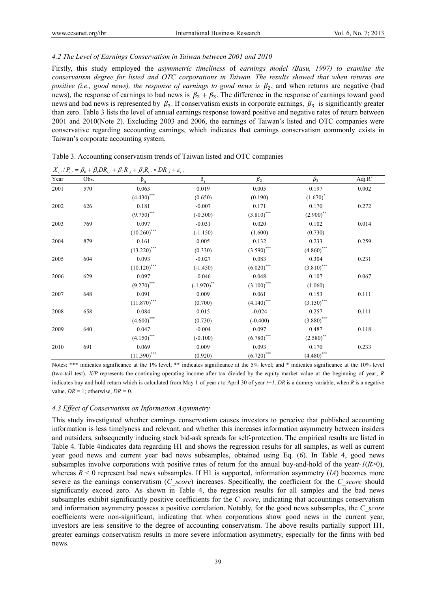# *4.2 The Level of Earnings Conservatism in Taiwan between 2001 and 2010*

Firstly, this study employed the *asymmetric timeliness* of *earnings model (Basu, 1997) to examine the conservatism degree for listed and OTC corporations in Taiwan. The results showed that when returns are positive (i.e., good news), the response of earnings to good news is*  $\beta_2$ , and when returns are negative (bad news), the response of earnings to bad news is  $\beta_2 + \beta_3$ . The difference in the response of earnings toward good news and bad news is represented by  $\beta_3$ . If conservatism exists in corporate earnings,  $\beta_3$  is significantly greater than zero. Table 3 lists the level of annual earnings response toward positive and negative rates of return between 2001 and 2010(Note 2). Excluding 2003 and 2006, the earnings of Taiwan's listed and OTC companies were conservative regarding accounting earnings, which indicates that earnings conservatism commonly exists in Taiwan's corporate accounting system.

|      |      | $X_{i,t}/P_{i,t} = \beta_0 + \beta_1 DR_{i,t} + \beta_2 R_{i,t} + \beta_3 R_{i,t} \times DR_{i,t} + \varepsilon_{i,t}$ |               |               |               |            |
|------|------|------------------------------------------------------------------------------------------------------------------------|---------------|---------------|---------------|------------|
| Year | Obs. | $\beta_0$                                                                                                              | $\beta_1$     | $\beta_2$     | $\beta_3$     | Adj. $R^2$ |
| 2001 | 570  | 0.063                                                                                                                  | 0.019         | 0.005         | 0.197         | 0.002      |
|      |      | $(4.430)$ ***                                                                                                          | (0.650)       | (0.190)       | $(1.670)^*$   |            |
| 2002 | 626  | 0.181                                                                                                                  | $-0.007$      | 0.171         | 0.170         | 0.272      |
|      |      | $(9.750)$ ***                                                                                                          | $(-0.300)$    | $(3.810)$ *** | $(2.900)$ **  |            |
| 2003 | 769  | 0.097                                                                                                                  | $-0.031$      | 0.020         | 0.102         | 0.014      |
|      |      | $(10.260)$ ***                                                                                                         | $(-1.150)$    | (1.600)       | (0.730)       |            |
| 2004 | 879  | 0.161                                                                                                                  | 0.005         | 0.132         | 0.233         | 0.259      |
|      |      | $(13.220)$ ***                                                                                                         | (0.330)       | $(3.590)$ *** | $(4.860)$ *** |            |
| 2005 | 604  | 0.093                                                                                                                  | $-0.027$      | 0.083         | 0.304         | 0.231      |
|      |      | $(10.120)$ ***                                                                                                         | $(-1.450)$    | $(6.020)$ *** | $(3.810)$ *** |            |
| 2006 | 629  | 0.097                                                                                                                  | $-0.046$      | 0.048         | 0.107         | 0.067      |
|      |      | $(9.270)$ ***                                                                                                          | $(-1.970)$ ** | $(3.100)$ *** | (1.060)       |            |
| 2007 | 648  | 0.091                                                                                                                  | 0.009         | 0.061         | 0.153         | 0.111      |
|      |      | $(11.870)$ ***                                                                                                         | (0.700)       | $(4.140)$ *** | $(3.150)$ *** |            |
| 2008 | 658  | 0.084                                                                                                                  | 0.015         | $-0.024$      | 0.257         | 0.111      |
|      |      | $(4.600)$ ***                                                                                                          | (0.730)       | $(-0.400)$    | $(3.880)$ *** |            |
| 2009 | 640  | 0.047                                                                                                                  | $-0.004$      | 0.097         | 0.487         | 0.118      |
|      |      | $(4.150)$ ***                                                                                                          | $(-0.100)$    | $(6.780)$ *** | $(2.580)$ **  |            |
| 2010 | 691  | 0.069                                                                                                                  | 0.009         | 0.093         | 0.170         | 0.233      |
|      |      | $(11.390)$ ***                                                                                                         | (0.920)       | $(6.720)$ *** | $(4.480)$ *** |            |

Table 3. Accounting conservatism trends of Taiwan listed and OTC companies

Notes: \*\*\* indicates significance at the 1% level; \*\* indicates significance at the 5% level; and \* indicates significance at the 10% level (two-tail test). *X/P* represents the continuing operating income after tax divided by the equity market value at the beginning of year; *R*  indicates buy and hold return which is calculated from May 1 of year *t* to April 30 of year *t+1*. *DR* is a dummy variable, when *R* is a negative value,  $DR = 1$ ; otherwise,  $DR = 0$ .

## *4.3 Effect of Conservatism on Information Asymmetry*

This study investigated whether earnings conservatism causes investors to perceive that published accounting information is less timelyness and relevant, and whether this increases information asymmetry between insiders and outsiders, subsequently inducing stock bid-ask spreads for self-protection. The empirical results are listed in Table 4. Table 4indicates data regarding H1 and shows the regression results for all samples, as well as current year good news and current year bad news subsamples, obtained using Eq. (6). In Table 4, good news subsamples involve corporations with positive rates of return for the annual buy-and-hold of the year*t-1*(*R*>0), whereas  $R < 0$  represent bad news subsamples. If H<sub>1</sub> is supported, information asymmetry  $(IA)$  becomes more severe as the earnings conservatism (*C\_score*) increases. Specifically, the coefficient for the *C\_score* should significantly exceed zero. As shown in Table 4, the regression results for all samples and the bad news subsamples exhibit significantly positive coefficients for the *C\_score*, indicating that accountings conservatism and information asymmetry possess a positive correlation. Notably, for the good news subsamples, the *C\_score* coefficients were non-significant, indicating that when corporations show good news in the current year, investors are less sensitive to the degree of accounting conservatism. The above results partially support H1, greater earnings conservatism results in more severe information asymmetry, especially for the firms with bed news.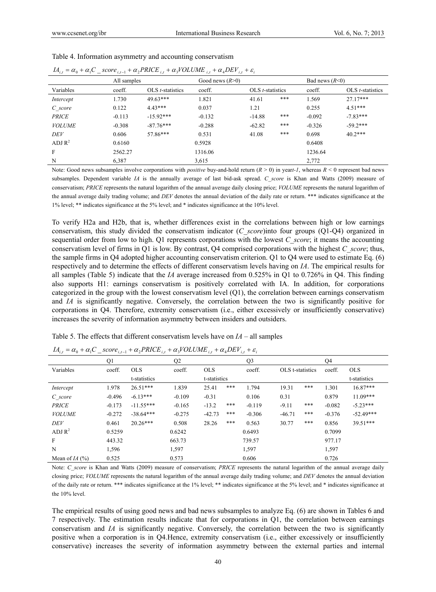| $IA_{i,t} = \alpha_0 + \alpha_1 C$ score $\alpha_{i,t-1} + \alpha_2 PRICE_{i,t} + \alpha_3 VOLUME_{i,t} + \alpha_4 DEV_{i,t} + \varepsilon_i$ |             |                          |                   |                            |                  |          |                          |  |  |  |  |
|-----------------------------------------------------------------------------------------------------------------------------------------------|-------------|--------------------------|-------------------|----------------------------|------------------|----------|--------------------------|--|--|--|--|
|                                                                                                                                               | All samples |                          | Good news $(R>0)$ |                            | Bad news $(R<0)$ |          |                          |  |  |  |  |
| Variables                                                                                                                                     | coeff.      | OLS <i>t</i> -statistics | coeff.            | $OLS$ <i>t</i> -statistics |                  | coeff.   | OLS <i>t</i> -statistics |  |  |  |  |
| Intercept                                                                                                                                     | 1.730       | $4963***$                | 1.821             | 41.61                      | ***              | 1.569    | $27.17***$               |  |  |  |  |
| C score                                                                                                                                       | 0.122       | $4.43***$                | 0.037             | 1.21                       |                  | 0.255    | $4.51***$                |  |  |  |  |
| <b>PRICE</b>                                                                                                                                  | $-0.113$    | $-15.92***$              | $-0.132$          | $-14.88$                   | ***              | $-0.092$ | $-7.83***$               |  |  |  |  |
| <b>VOLUME</b>                                                                                                                                 | $-0.308$    | $-87.76***$              | $-0.288$          | $-62.82$                   | ***              | $-0.326$ | $-59.2***$               |  |  |  |  |
| DEFV                                                                                                                                          | 0.606       | 57 86***                 | 0.531             | 41.08                      | ***              | 0.698    | $40.2***$                |  |  |  |  |
| ADJ $\mathbb{R}^2$                                                                                                                            | 0.6160      |                          | 0.5928            |                            |                  | 0.6408   |                          |  |  |  |  |
| F                                                                                                                                             | 2562.27     |                          | 1316.06           |                            |                  | 1236.64  |                          |  |  |  |  |
| N                                                                                                                                             | 6,387       |                          | 3.615             |                            |                  | 2,772    |                          |  |  |  |  |

Table 4. Information asymmetry and accounting conservatism

Note: Good news subsamples involve corporations with *positive* buy-and-hold return  $(R > 0)$  in year*t-1*, whereas  $R < 0$  represent bad news subsamples. Dependent variable *IA* is the annually average of last bid-ask spread. *C\_score* is Khan and Watts (2009) measure of conservatism; *PRICE* represents the natural logarithm of the annual average daily closing price; *VOLUME* represents the natural logarithm of the annual average daily trading volume; and *DEV* denotes the annual deviation of the daily rate or return. \*\*\* indicates significance at the 1% level; \*\* indicates significance at the 5% level; and \* indicates significance at the 10% level.

To verify H2a and H2b, that is, whether differences exist in the correlations between high or low earnings conservatism, this study divided the conservatism indicator (*C\_score*)into four groups (Q1-Q4) organized in sequential order from low to high. Q1 represents corporations with the lowest *C\_score*; it means the accounting conservatism level of firms in Q1 is low. By contrast, Q4 comprised corporations with the highest *C\_score*; thus, the sample firms in Q4 adopted higher accounting conservatism criterion. Q1 to Q4 were used to estimate Eq. (6) respectively and to determine the effects of different conservatism levels having on *IA*. The empirical results for all samples (Table 5) indicate that the *IA* average increased from 0.525% in Q1 to 0.726% in Q4. This finding also supports H1: earnings conservatism is positively correlated with IA. In addition, for corporations categorized in the group with the lowest conservatism level  $(Q1)$ , the correlation between earnings conservatism and *IA* is significantly negative. Conversely, the correlation between the two is significantly positive for corporations in Q4. Therefore, extremity conservatism (i.e., either excessively or insufficiently conservative) increases the severity of information asymmetry between insiders and outsiders.

Table 5. The effects that different conservatism levels have on *IA* – all samples

|                    | Q1       |              | Q2       |              |     | Q <sub>3</sub> |                  |     | Q4       |              |  |
|--------------------|----------|--------------|----------|--------------|-----|----------------|------------------|-----|----------|--------------|--|
| Variables          | coeff.   | <b>OLS</b>   | coeff.   | <b>OLS</b>   |     |                | OLS t-statistics |     | coeff.   | <b>OLS</b>   |  |
|                    |          | t-statistics |          | t-statistics |     |                |                  |     |          | t-statistics |  |
| Intercept          | 1.978    | $26.51***$   | 1.839    | 25.41        | *** | 1.794          | 19.31            | *** | 1.301    | $16.87***$   |  |
| C score            | $-0.496$ | $-6.13***$   | $-0.109$ | $-0.31$      |     | 0.106          | 0.31             |     | 0.879    | $11.09***$   |  |
| <b>PRICE</b>       | $-0.173$ | $-11.55***$  | $-0.165$ | $-13.2$      | *** | $-0.119$       | $-9.11$          | *** | $-0.082$ | $-5.23***$   |  |
| <b>VOLUME</b>      | $-0.272$ | $-38.64***$  | $-0.275$ | $-42.73$     | *** | $-0.306$       | $-46.71$         | *** | $-0.376$ | $-52.49***$  |  |
| DEFV               | 0.461    | $20.26***$   | 0.508    | 28.26        | *** | 0.563          | 30.77            | *** | 0.856    | $39.51***$   |  |
| ADJ $\mathbb{R}^2$ | 0.5259   |              | 0.6242   |              |     | 0.6493         |                  |     | 0.7099   |              |  |
| F                  | 443.32   |              | 663.73   |              |     | 739.57         |                  |     | 977.17   |              |  |
| N                  | 1,596    |              | 1,597    |              |     | 1,597          |                  |     | 1,597    |              |  |
| Mean of $IA(%)$    | 0.525    |              | 0.573    |              |     | 0.606          |                  |     | 0.726    |              |  |

 $IA_{i,t} = \alpha_0 + \alpha_1 C$  *score*<sub>*i*-*t*</sub>  $+ \alpha_2 P RICE_{i,t} + \alpha_3 VOLUME_{i,t} + \alpha_4 DEV_{i,t} + \varepsilon_i$ 

Note: *C\_score* is Khan and Watts (2009) measure of conservatism; *PRICE* represents the natural logarithm of the annual average daily closing price; *VOLUME* represents the natural logarithm of the annual average daily trading volume; and *DEV* denotes the annual deviation of the daily rate or return. \*\*\* indicates significance at the 1% level; \*\* indicates significance at the 5% level; and \* indicates significance at the 10% level.

The empirical results of using good news and bad news subsamples to analyze Eq. (6) are shown in Tables 6 and 7 respectively. The estimation results indicate that for corporations in Q1, the correlation between earnings conservatism and *IA* is significantly negative. Conversely, the correlation between the two is significantly positive when a corporation is in Q4.Hence, extremity conservatism (i.e., either excessively or insufficiently conservative) increases the severity of information asymmetry between the external parties and internal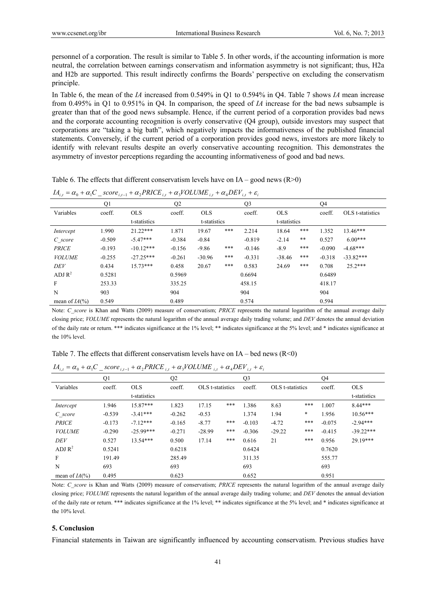personnel of a corporation. The result is similar to Table 5. In other words, if the accounting information is more neutral, the correlation between earnings conservatism and information asymmetry is not significant; thus, H2a and H2b are supported. This result indirectly confirms the Boards' perspective on excluding the conservatism principle.

In Table 6, the mean of the *IA* increased from 0.549% in Q1 to 0.594% in Q4. Table 7 shows *IA* mean increase from 0.495% in Q1 to 0.951% in Q4. In comparison, the speed of *IA* increase for the bad news subsample is greater than that of the good news subsample. Hence, if the current period of a corporation provides bad news and the corporate accounting recognition is overly conservative (Q4 group), outside investors may suspect that corporations are "taking a big bath", which negatively impacts the informativeness of the published financial statements. Conversely, if the current period of a corporation provides good news, investors are more likely to identify with relevant results despite an overly conservative accounting recognition. This demonstrates the asymmetry of investor perceptions regarding the accounting informativeness of good and bad news.

| Table 6. The effects that different conservatism levels have on $IA - good$ news $(R>0)$ |  |  |  |  |  |
|------------------------------------------------------------------------------------------|--|--|--|--|--|
|------------------------------------------------------------------------------------------|--|--|--|--|--|

| $\cdot$ , $\cdot$  |          |              | $\cdot$ , $\cdot$ |              |     | $\cdot$ , $\cdot$ |              |       |          |                  |
|--------------------|----------|--------------|-------------------|--------------|-----|-------------------|--------------|-------|----------|------------------|
|                    | Q1       |              | Q <sub>2</sub>    |              |     | Q <sub>3</sub>    |              |       | Q4       |                  |
| Variables          | coeff.   | <b>OLS</b>   | coeff.            | <b>OLS</b>   |     | coeff.            | <b>OLS</b>   |       | coeff.   | OLS t-statistics |
|                    |          | t-statistics |                   | t-statistics |     |                   | t-statistics |       |          |                  |
| Intercept          | 1.990    | $21.22***$   | 1.871             | 19.67        | *** | 2.214             | 18.64        | ***   | 1.352    | $13.46***$       |
| C score            | $-0.509$ | $-5.47***$   | $-0.384$          | $-0.84$      |     | $-0.819$          | $-2.14$      | $***$ | 0.527    | $6.00***$        |
| <b>PRICE</b>       | $-0.193$ | $-10.12***$  | $-0.156$          | $-9.86$      | *** | $-0.146$          | $-8.9$       | ***   | $-0.090$ | $-4.68***$       |
| <b>VOLUME</b>      | $-0.255$ | $-27.25***$  | $-0.261$          | $-30.96$     | *** | $-0.331$          | $-38.46$     | ***   | $-0.318$ | $-33.82***$      |
| DEFV               | 0.434    | $15.73***$   | 0.458             | 20.67        | *** | 0.583             | 24.69        | ***   | 0.708    | $25.2***$        |
| ADJ $\mathbb{R}^2$ | 0.5281   |              | 0.5969            |              |     | 0.6694            |              |       | 0.6489   |                  |
| F                  | 253.33   |              | 335.25            |              |     | 458.15            |              |       | 418.17   |                  |
| N                  | 903      |              | 904               |              |     | 904               |              |       | 904      |                  |
| mean of $IA(\%)$   | 0.549    |              | 0.489             |              |     | 0.574             |              |       | 0.594    |                  |

 $IA_{i,t} = \alpha_0 + \alpha_1C$  \_ score<sub>i.t-1</sub> +  $\alpha_2PRICE_{i,t} + \alpha_3VOLUME_{i,t} + \alpha_4DEV_{i,t} + \varepsilon_i$ 

Note: *C\_score* is Khan and Watts (2009) measure of conservatism; *PRICE* represents the natural logarithm of the annual average daily closing price; *VOLUME* represents the natural logarithm of the annual average daily trading volume; and *DEV* denotes the annual deviation of the daily rate or return. \*\*\* indicates significance at the 1% level; \*\* indicates significance at the 5% level; and \* indicates significance at the 10% level.

|  |  | Table 7. The effects that different conservatism levels have on $IA - bed$ news $(R<0)$ |  |
|--|--|-----------------------------------------------------------------------------------------|--|
|--|--|-----------------------------------------------------------------------------------------|--|

| $IA_{i,t} = \alpha_0 + \alpha_1 C$ score $_{i,t-1} + \alpha_2 PRICE_{i,t} + \alpha_3 VOLUME_{i,t} + \alpha_4 DEV_{i,t} + \varepsilon_i$ |
|-----------------------------------------------------------------------------------------------------------------------------------------|
|-----------------------------------------------------------------------------------------------------------------------------------------|

|                  | Q1       |              | Q <sub>2</sub> |          |                  | Q3       |                  |        | Q4       |              |
|------------------|----------|--------------|----------------|----------|------------------|----------|------------------|--------|----------|--------------|
| Variables        | coeff.   | <b>OLS</b>   | coeff.         |          | OLS t-statistics |          | OLS t-statistics |        | coeff.   | <b>OLS</b>   |
|                  |          | t-statistics |                |          |                  |          |                  |        |          | t-statistics |
| Intercept        | 1.946    | 15.87***     | 1.823          | 17.15    | ***              | 1.386    | 8.63             | ***    | 1.007    | $8.44***$    |
| C score          | $-0.539$ | $-3.41***$   | $-0.262$       | $-0.53$  |                  | 1.374    | 1.94             | $\ast$ | 1.956    | $10.56***$   |
| <b>PRICE</b>     | $-0.173$ | $-7.12***$   | $-0.165$       | $-8.77$  | ***              | $-0.103$ | $-4.72$          | ***    | $-0.075$ | $-2.94***$   |
| <b>VOLUME</b>    | $-0.290$ | $-25.99***$  | $-0.271$       | $-28.99$ | ***              | $-0.306$ | $-29.22$         | ***    | $-0.415$ | $-39.22***$  |
| DEFV             | 0.527    | $13.54***$   | 0.500          | 17.14    | ***              | 0.616    | 21               | ***    | 0.956    | 29 19***     |
| ADJ $R^2$        | 0.5241   |              | 0.6218         |          |                  | 0.6424   |                  |        | 0.7620   |              |
| F                | 191.49   |              | 285.49         |          |                  | 311.35   |                  |        | 555.77   |              |
| N                | 693      |              | 693            |          |                  | 693      |                  |        | 693      |              |
| mean of $IA(\%)$ | 0.495    |              | 0.623          |          |                  | 0.652    |                  |        | 0.951    |              |

Note: *C\_score* is Khan and Watts (2009) measure of conservatism; *PRICE* represents the natural logarithm of the annual average daily closing price; *VOLUME* represents the natural logarithm of the annual average daily trading volume; and *DEV* denotes the annual deviation of the daily rate or return. \*\*\* indicates significance at the 1% level; \*\* indicates significance at the 5% level; and \* indicates significance at the 10% level.

#### **5. Conclusion**

Financial statements in Taiwan are significantly influenced by accounting conservatism. Previous studies have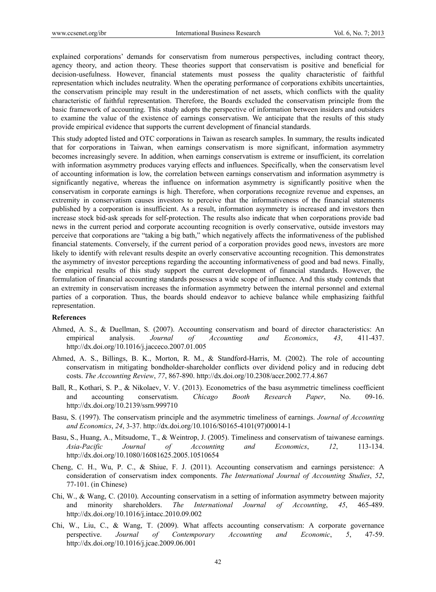explained corporations' demands for conservatism from numerous perspectives, including contract theory, agency theory, and action theory. These theories support that conservatism is positive and beneficial for decision-usefulness. However, financial statements must possess the quality characteristic of faithful representation which includes neutrality. When the operating performance of corporations exhibits uncertainties, the conservatism principle may result in the underestimation of net assets, which conflicts with the quality characteristic of faithful representation. Therefore, the Boards excluded the conservatism principle from the basic framework of accounting. This study adopts the perspective of information between insiders and outsiders to examine the value of the existence of earnings conservatism. We anticipate that the results of this study provide empirical evidence that supports the current development of financial standards.

This study adopted listed and OTC corporations in Taiwan as research samples. In summary, the results indicated that for corporations in Taiwan, when earnings conservatism is more significant, information asymmetry becomes increasingly severe. In addition, when earnings conservatism is extreme or insufficient, its correlation with information asymmetry produces varying effects and influences. Specifically, when the conservatism level of accounting information is low, the correlation between earnings conservatism and information asymmetry is significantly negative, whereas the influence on information asymmetry is significantly positive when the conservatism in corporate earnings is high. Therefore, when corporations recognize revenue and expenses, an extremity in conservatism causes investors to perceive that the informativeness of the financial statements published by a corporation is insufficient. As a result, information asymmetry is increased and investors then increase stock bid-ask spreads for self-protection. The results also indicate that when corporations provide bad news in the current period and corporate accounting recognition is overly conservative, outside investors may perceive that corporations are "taking a big bath," which negatively affects the informativeness of the published financial statements. Conversely, if the current period of a corporation provides good news, investors are more likely to identify with relevant results despite an overly conservative accounting recognition. This demonstrates the asymmetry of investor perceptions regarding the accounting informativeness of good and bad news. Finally, the empirical results of this study support the current development of financial standards. However, the formulation of financial accounting standards possesses a wide scope of influence. And this study contends that an extremity in conservatism increases the information asymmetry between the internal personnel and external parties of a corporation. Thus, the boards should endeavor to achieve balance while emphasizing faithful representation.

#### **References**

- Ahmed, A. S., & Duellman, S. (2007). Accounting conservatism and board of director characteristics: An empirical analysis. *Journal of Accounting and Economics*, *43*, 411-437. http://dx.doi.org/10.1016/j.jacceco.2007.01.005
- Ahmed, A. S., Billings, B. K., Morton, R. M., & Standford-Harris, M. (2002). The role of accounting conservatism in mitigating bondholder-shareholder conflicts over dividend policy and in reducing debt costs. *The Accounting Review*, *77*, 867-890. http://dx.doi.org/10.2308/accr.2002.77.4.867
- Ball, R., Kothari, S. P., & Nikolaev, V. V. (2013). Econometrics of the basu asymmetric timeliness coefficient and accounting conservatism. *Chicago Booth Research Paper*, No. 09-16. http://dx.doi.org/10.2139/ssrn.999710
- Basu, S. (1997). The conservatism principle and the asymmetric timeliness of earnings. *Journal of Accounting and Economics*, *24*, 3-37. http://dx.doi.org/10.1016/S0165-4101(97)00014-1
- Basu, S., Huang, A., Mitsudome, T., & Weintrop, J. (2005). Timeliness and conservatism of taiwanese earnings. *Asia-Pacific Journal of Accounting and Economics*, *12*, 113-134. http://dx.doi.org/10.1080/16081625.2005.10510654
- Cheng, C. H., Wu, P. C., & Shiue, F. J. (2011). Accounting conservatism and earnings persistence: A consideration of conservatism index components. *The International Journal of Accounting Studies*, *52*, 77-101. (in Chinese)
- Chi, W., & Wang, C. (2010). Accounting conservatism in a setting of information asymmetry between majority and minority shareholders. *The International Journal of Accounting*, *45*, 465-489. http://dx.doi.org/10.1016/j.intacc.2010.09.002
- Chi, W., Liu, C., & Wang, T. (2009). What affects accounting conservatism: A corporate governance perspective. *Journal of Contemporary Accounting and Economic*, *5*, 47-59. http://dx.doi.org/10.1016/j.jcae.2009.06.001